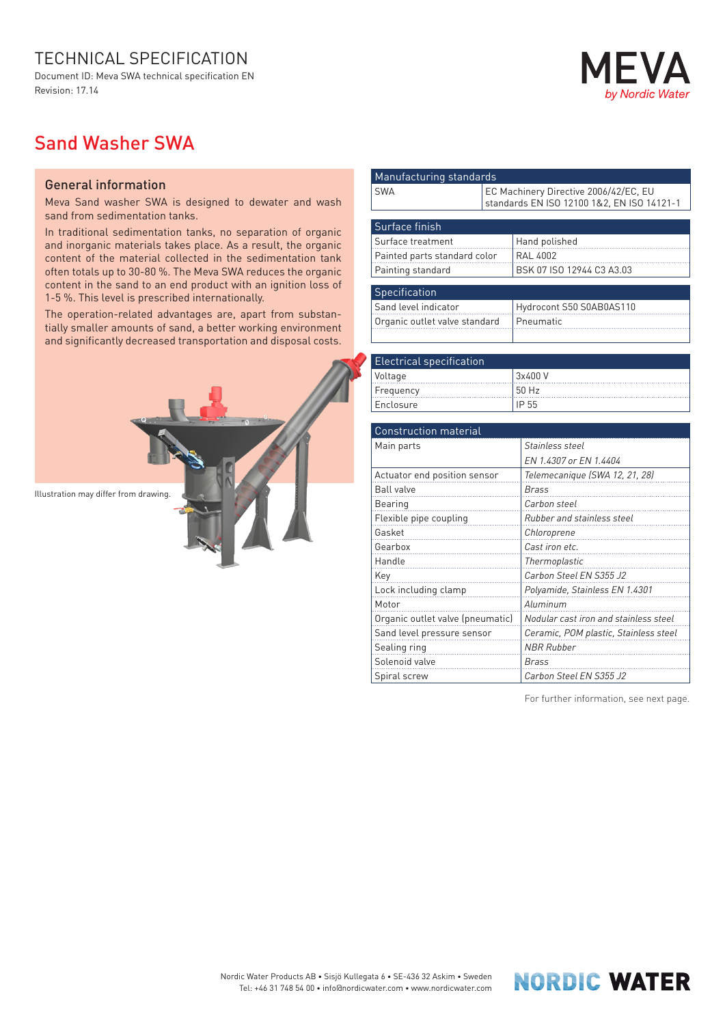## TECHNICAL SPECIFICATION

Document ID: Meva SWA technical specification EN Revision: 17.14

## Nordic Water

## Sand Washer SWA

## General information

Meva Sand washer SWA is designed to dewater and wash sand from sedimentation tanks.

In traditional sedimentation tanks, no separation of organic and inorganic materials takes place. As a result, the organic content of the material collected in the sedimentation tank often totals up to 30-80 %. The Meva SWA reduces the organic content in the sand to an end product with an ignition loss of 1-5 %. This level is prescribed internationally.

The operation-related advantages are, apart from substantially smaller amounts of sand, a better working environment and significantly decreased transportation and disposal costs.



| Manufacturing standards       |                                                                                     |  |  |  |
|-------------------------------|-------------------------------------------------------------------------------------|--|--|--|
| <b>SWA</b>                    | EC Machinery Directive 2006/42/EC, EU<br>standards EN ISO 12100 1&2, EN ISO 14121-1 |  |  |  |
|                               |                                                                                     |  |  |  |
| Surface finish                |                                                                                     |  |  |  |
| Surface treatment             | Hand polished                                                                       |  |  |  |
| Painted parts standard color  | <b>RAL 4002</b>                                                                     |  |  |  |
| Painting standard             | BSK 07 ISO 12944 C3 A3.03                                                           |  |  |  |
|                               |                                                                                     |  |  |  |
| Specification                 |                                                                                     |  |  |  |
| Sand level indicator          | Hydrocont S50 S0AB0AS110                                                            |  |  |  |
| Organic outlet valve standard | Pneumatic                                                                           |  |  |  |
|                               |                                                                                     |  |  |  |

| <b>Electrical specification</b> |         |  |  |
|---------------------------------|---------|--|--|
| Voltage                         | 3x400 V |  |  |
| Frequency                       | 50 Hz   |  |  |
| l Enclosure                     |         |  |  |

| <b>Construction material</b>     |                                       |  |  |  |  |
|----------------------------------|---------------------------------------|--|--|--|--|
| Main parts                       | Stainless steel                       |  |  |  |  |
|                                  | EN 1.4307 or EN 1.4404                |  |  |  |  |
| Actuator end position sensor     | Telemecanique (SWA 12, 21, 28)        |  |  |  |  |
| <b>Ball valve</b>                | <b>Brass</b>                          |  |  |  |  |
| Bearing                          | Carbon steel                          |  |  |  |  |
| Flexible pipe coupling           | Rubber and stainless steel            |  |  |  |  |
| Gasket                           | Chloroprene                           |  |  |  |  |
| Gearbox                          | Cast iron etc.                        |  |  |  |  |
| Handle                           | Thermoplastic                         |  |  |  |  |
| Key                              | Carbon Steel EN S355 J2               |  |  |  |  |
| Lock including clamp             | Polyamide, Stainless EN 1.4301        |  |  |  |  |
| Motor                            | Aluminum                              |  |  |  |  |
| Organic outlet valve (pneumatic) | Nodular cast iron and stainless steel |  |  |  |  |
| Sand level pressure sensor       | Ceramic, POM plastic, Stainless steel |  |  |  |  |
| Sealing ring                     | <b>NBR Rubber</b>                     |  |  |  |  |
| Solenoid valve                   | <b>Brass</b>                          |  |  |  |  |
| Spiral screw                     | Carbon Steel EN S355 J2               |  |  |  |  |

For further information, see next page.